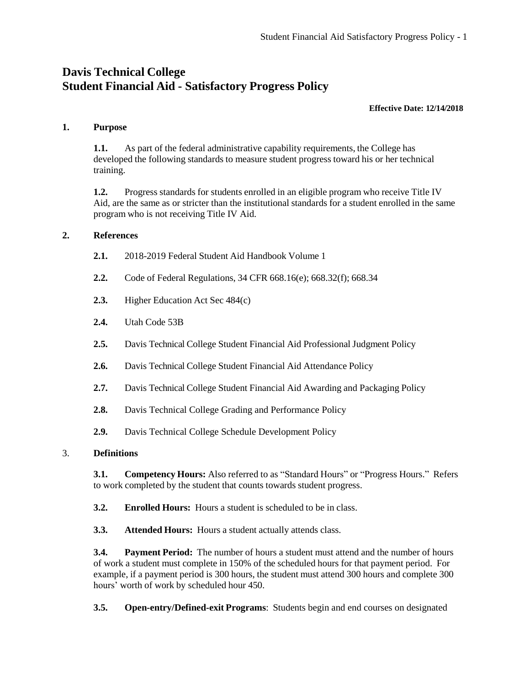# **Davis Technical College Student Financial Aid - Satisfactory Progress Policy**

#### **Effective Date: 12/14/2018**

#### **1. Purpose**

**1.1.** As part of the federal administrative capability requirements, the College has developed the following standards to measure student progress toward his or her technical training.

**1.2.** Progress standards for students enrolled in an eligible program who receive Title IV Aid, are the same as or stricter than the institutional standards for a student enrolled in the same program who is not receiving Title IV Aid.

#### **2. References**

- **2.1.** 2018-2019 Federal Student Aid Handbook Volume 1
- **2.2.** Code of Federal Regulations, 34 CFR 668.16(e); 668.32(f); 668.34
- **2.3.** Higher Education Act Sec 484(c)
- **2.4.** Utah Code 53B
- **2.5.** Davis Technical College Student Financial Aid Professional Judgment Policy
- **2.6.** Davis Technical College Student Financial Aid Attendance Policy
- **2.7.** Davis Technical College Student Financial Aid Awarding and Packaging Policy
- **2.8.** Davis Technical College Grading and Performance Policy
- **2.9.** Davis Technical College Schedule Development Policy

#### 3. **Definitions**

**3.1. Competency Hours:** Also referred to as "Standard Hours" or "Progress Hours." Refers to work completed by the student that counts towards student progress.

**3.2. Enrolled Hours:** Hours a student is scheduled to be in class.

**3.3. Attended Hours:** Hours a student actually attends class.

**3.4. Payment Period:** The number of hours a student must attend and the number of hours of work a student must complete in 150% of the scheduled hours for that payment period. For example, if a payment period is 300 hours, the student must attend 300 hours and complete 300 hours' worth of work by scheduled hour 450.

**3.5. Open-entry/Defined-exit Programs**: Students begin and end courses on designated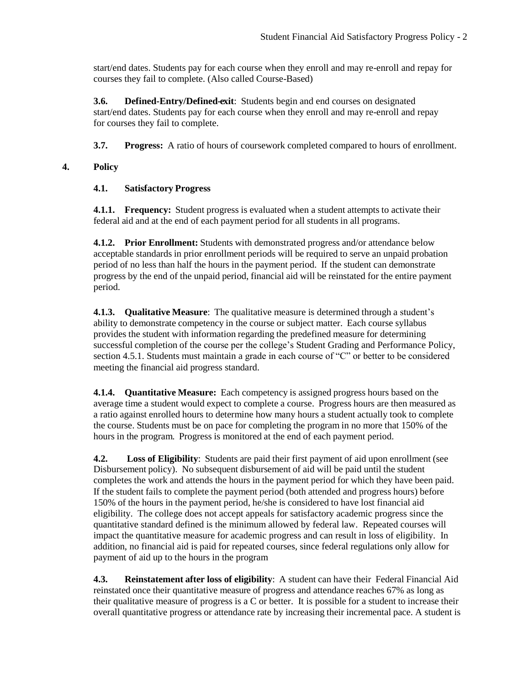start/end dates. Students pay for each course when they enroll and may re-enroll and repay for courses they fail to complete. (Also called Course-Based)

**3.6. Defined-Entry/Defined-exit**: Students begin and end courses on designated start/end dates. Students pay for each course when they enroll and may re-enroll and repay for courses they fail to complete.

**3.7. Progress:** A ratio of hours of coursework completed compared to hours of enrollment.

### **4. Policy**

### **4.1. Satisfactory Progress**

**4.1.1. Frequency:** Student progress is evaluated when a student attempts to activate their federal aid and at the end of each payment period for all students in all programs.

**4.1.2. Prior Enrollment:** Students with demonstrated progress and/or attendance below acceptable standards in prior enrollment periods will be required to serve an unpaid probation period of no less than half the hours in the payment period. If the student can demonstrate progress by the end of the unpaid period, financial aid will be reinstated for the entire payment period.

**4.1.3. Qualitative Measure**: The qualitative measure is determined through a student's ability to demonstrate competency in the course or subject matter. Each course syllabus provides the student with information regarding the predefined measure for determining successful completion of the course per the college's Student Grading and Performance Policy, section 4.5.1. Students must maintain a grade in each course of "C" or better to be considered meeting the financial aid progress standard.

**4.1.4. Quantitative Measure:** Each competency is assigned progress hours based on the average time a student would expect to complete a course. Progress hours are then measured as a ratio against enrolled hours to determine how many hours a student actually took to complete the course. Students must be on pace for completing the program in no more that 150% of the hours in the program. Progress is monitored at the end of each payment period.

**4.2. Loss of Eligibility**: Students are paid their first payment of aid upon enrollment (see Disbursement policy). No subsequent disbursement of aid will be paid until the student completes the work and attends the hours in the payment period for which they have been paid. If the student fails to complete the payment period (both attended and progress hours) before 150% of the hours in the payment period, he/she is considered to have lost financial aid eligibility. The college does not accept appeals for satisfactory academic progress since the quantitative standard defined is the minimum allowed by federal law. Repeated courses will impact the quantitative measure for academic progress and can result in loss of eligibility. In addition, no financial aid is paid for repeated courses, since federal regulations only allow for payment of aid up to the hours in the program

**4.3. Reinstatement after loss of eligibility**: A student can have their Federal Financial Aid reinstated once their quantitative measure of progress and attendance reaches 67% as long as their qualitative measure of progress is a C or better. It is possible for a student to increase their overall quantitative progress or attendance rate by increasing their incremental pace. A student is